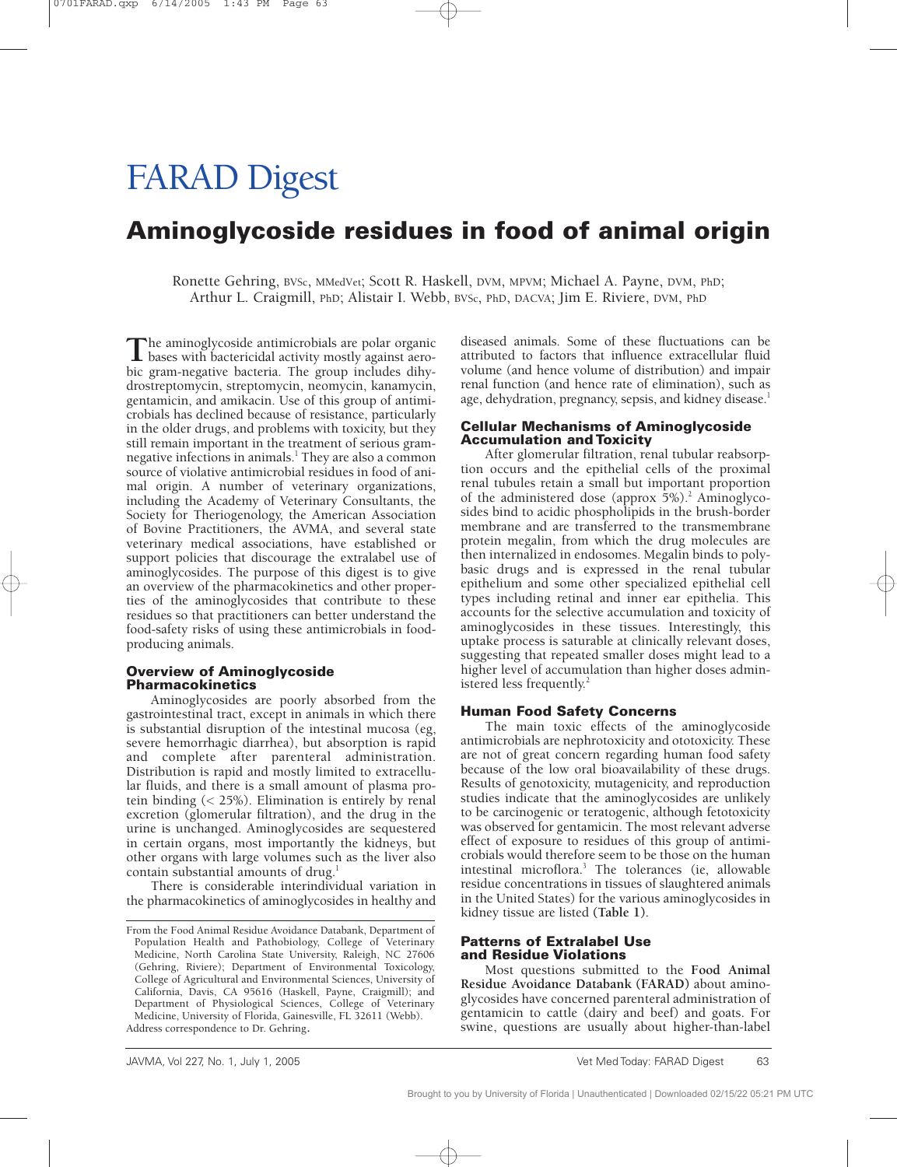# FARAD Digest

## **Aminoglycoside residues in food of animal origin**

Ronette Gehring, BVSc, MMedVet; Scott R. Haskell, DVM, MPVM; Michael A. Payne, DVM, PhD; Arthur L. Craigmill, PhD; Alistair I. Webb, BVSc, PhD, DACVA; Jim E. Riviere, DVM, PhD

The aminoglycoside antimicrobials are polar organic<br>bases with bactericidal activity mostly against aero-<br>his group positive basterie. The group includes dilux bic gram-negative bacteria. The group includes dihydrostreptomycin, streptomycin, neomycin, kanamycin, gentamicin, and amikacin. Use of this group of antimicrobials has declined because of resistance, particularly in the older drugs, and problems with toxicity, but they still remain important in the treatment of serious gramnegative infections in animals.<sup>1</sup> They are also a common source of violative antimicrobial residues in food of animal origin. A number of veterinary organizations, including the Academy of Veterinary Consultants, the Society for Theriogenology, the American Association of Bovine Practitioners, the AVMA, and several state veterinary medical associations, have established or support policies that discourage the extralabel use of aminoglycosides. The purpose of this digest is to give an overview of the pharmacokinetics and other properties of the aminoglycosides that contribute to these residues so that practitioners can better understand the food-safety risks of using these antimicrobials in foodproducing animals.

#### **Overview of Aminoglycoside Pharmacokinetics**

Aminoglycosides are poorly absorbed from the gastrointestinal tract, except in animals in which there is substantial disruption of the intestinal mucosa (eg, severe hemorrhagic diarrhea), but absorption is rapid and complete after parenteral administration. Distribution is rapid and mostly limited to extracellular fluids, and there is a small amount of plasma protein binding (< 25%). Elimination is entirely by renal excretion (glomerular filtration), and the drug in the urine is unchanged. Aminoglycosides are sequestered in certain organs, most importantly the kidneys, but other organs with large volumes such as the liver also contain substantial amounts of drug.<sup>1</sup>

There is considerable interindividual variation in the pharmacokinetics of aminoglycosides in healthy and diseased animals. Some of these fluctuations can be attributed to factors that influence extracellular fluid volume (and hence volume of distribution) and impair renal function (and hence rate of elimination), such as age, dehydration, pregnancy, sepsis, and kidney disease.<sup>1</sup>

#### **Cellular Mechanisms of Aminoglycoside Accumulation and Toxicity**

After glomerular filtration, renal tubular reabsorption occurs and the epithelial cells of the proximal renal tubules retain a small but important proportion of the administered dose (approx  $5\%)$ .<sup>2</sup> Aminoglycosides bind to acidic phospholipids in the brush-border membrane and are transferred to the transmembrane protein megalin, from which the drug molecules are then internalized in endosomes. Megalin binds to polybasic drugs and is expressed in the renal tubular epithelium and some other specialized epithelial cell types including retinal and inner ear epithelia. This accounts for the selective accumulation and toxicity of aminoglycosides in these tissues. Interestingly, this uptake process is saturable at clinically relevant doses, suggesting that repeated smaller doses might lead to a higher level of accumulation than higher doses administered less frequently.<sup>2</sup>

#### **Human Food Safety Concerns**

The main toxic effects of the aminoglycoside antimicrobials are nephrotoxicity and ototoxicity. These are not of great concern regarding human food safety because of the low oral bioavailability of these drugs. Results of genotoxicity, mutagenicity, and reproduction studies indicate that the aminoglycosides are unlikely to be carcinogenic or teratogenic, although fetotoxicity was observed for gentamicin. The most relevant adverse effect of exposure to residues of this group of antimicrobials would therefore seem to be those on the human intestinal microflora.3 The tolerances (ie, allowable residue concentrations in tissues of slaughtered animals in the United States) for the various aminoglycosides in kidney tissue are listed **(Table 1)**.

#### **Patterns of Extralabel Use and Residue Violations**

Most questions submitted to the **Food Animal Residue Avoidance Databank (FARAD)** about aminoglycosides have concerned parenteral administration of gentamicin to cattle (dairy and beef) and goats. For swine, questions are usually about higher-than-label

From the Food Animal Residue Avoidance Databank, Department of Population Health and Pathobiology, College of Veterinary Medicine, North Carolina State University, Raleigh, NC 27606 (Gehring, Riviere); Department of Environmental Toxicology, College of Agricultural and Environmental Sciences, University of California, Davis, CA 95616 (Haskell, Payne, Craigmill); and Department of Physiological Sciences, College of Veterinary Medicine, University of Florida, Gainesville, FL 32611 (Webb). Address correspondence to Dr. Gehring.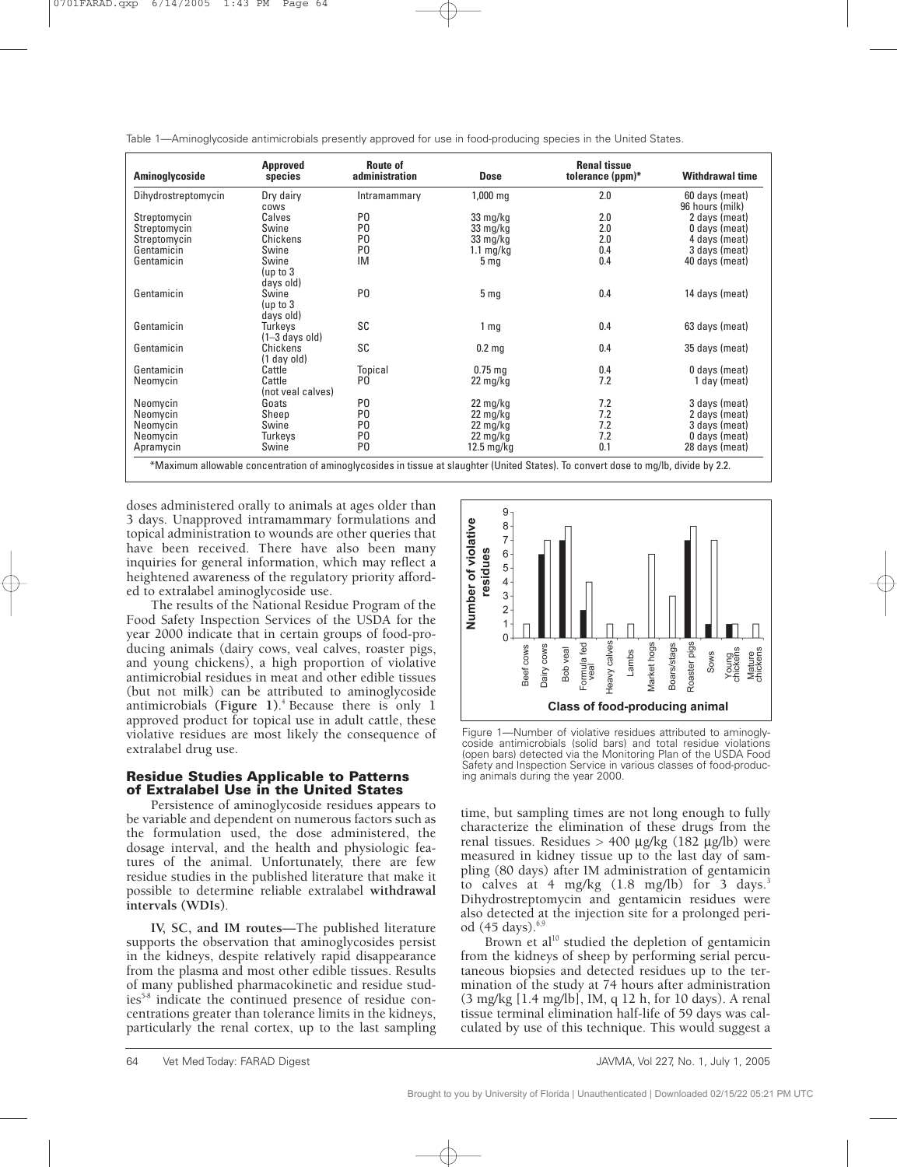| Table 1—Aminoglycoside antimicrobials presently approved for use in food-producing species in the United States. |  |  |  |
|------------------------------------------------------------------------------------------------------------------|--|--|--|
|------------------------------------------------------------------------------------------------------------------|--|--|--|

| Aminoglycoside      | Approved<br>species              | Route of<br>administration | <b>Dose</b>                      | <b>Renal tissue</b><br>tolerance (ppm)* | <b>Withdrawal time</b>            |
|---------------------|----------------------------------|----------------------------|----------------------------------|-----------------------------------------|-----------------------------------|
| Dihydrostreptomycin | Dry dairy<br>cows                | Intramammary               | 1,000 mg                         | 2.0                                     | 60 days (meat)<br>96 hours (milk) |
| Streptomycin        | Calves                           | P <sub>0</sub>             | 33 mg/kg                         | 2.0                                     | 2 days (meat)                     |
| Streptomycin        | Swine                            | P <sub>0</sub>             | 33 mg/kg                         | 2.0                                     | 0 days (meat)                     |
| Streptomycin        | Chickens                         | P <sub>0</sub>             | 33 mg/kg                         | 2.0                                     | 4 days (meat)                     |
| Gentamicin          | Swine                            | P <sub>0</sub>             | $1.1 \text{ mg/kg}$              | 0.4                                     | 3 days (meat)                     |
| Gentamicin          | Swine<br>(up to $3$<br>days old) | IM                         | 5 <sub>mg</sub>                  | 0.4                                     | 40 days (meat)                    |
| Gentamicin          | Swine<br>(up to $3$<br>days old) | P <sub>0</sub>             | 5 <sub>mg</sub>                  | 0.4                                     | 14 days (meat)                    |
| Gentamicin          | Turkeys<br>$(1-3$ days old)      | SC                         | 1 <sub>mg</sub>                  | 0.4                                     | 63 days (meat)                    |
| Gentamicin          | Chickens<br>(1 day old)          | <b>SC</b>                  | 0.2 <sub>mg</sub>                | 0.4                                     | 35 days (meat)                    |
| Gentamicin          | Cattle                           | Topical                    | $0.75$ ma                        | 0.4                                     | 0 days (meat)                     |
| Neomycin            | Cattle<br>(not veal calves)      | P0                         | $22 \,\mathrm{mg/kg}$            | 7.2                                     | 1 day (meat)                      |
| Neomycin            | Goats                            | P <sub>0</sub>             | $22 \text{ mg/kg}$               | 7.2                                     | 3 days (meat)                     |
| Neomycin            | Sheep                            | P <sub>0</sub>             | $22 \,\mathrm{mg/kg}$            | 7.2                                     | 2 days (meat)                     |
| Neomycin            | Swine                            | P <sub>0</sub>             | $22 \frac{\text{mg}}{\text{kg}}$ | 7.2                                     | 3 days (meat)                     |
| Neomycin            | Turkeys                          | P <sub>0</sub>             | $22 \,\mathrm{mg/kg}$            | 7.2                                     | 0 days (meat)                     |
| Apramycin           | Swine                            | P <sub>0</sub>             | $12.5 \text{ mg/kg}$             | 0.1                                     | 28 days (meat)                    |

doses administered orally to animals at ages older than 3 days. Unapproved intramammary formulations and topical administration to wounds are other queries that have been received. There have also been many inquiries for general information, which may reflect a heightened awareness of the regulatory priority afforded to extralabel aminoglycoside use.

The results of the National Residue Program of the Food Safety Inspection Services of the USDA for the year 2000 indicate that in certain groups of food-producing animals (dairy cows, veal calves, roaster pigs, and young chickens), a high proportion of violative antimicrobial residues in meat and other edible tissues (but not milk) can be attributed to aminoglycoside antimicrobials **(Figure 1)**. 4 Because there is only 1 approved product for topical use in adult cattle, these violative residues are most likely the consequence of extralabel drug use.

### **Residue Studies Applicable to Patterns of Extralabel Use in the United States**

Persistence of aminoglycoside residues appears to be variable and dependent on numerous factors such as the formulation used, the dose administered, the dosage interval, and the health and physiologic features of the animal. Unfortunately, there are few residue studies in the published literature that make it possible to determine reliable extralabel **withdrawal intervals (WDIs)**.

**IV, SC, and IM routes**—The published literature supports the observation that aminoglycosides persist in the kidneys, despite relatively rapid disappearance from the plasma and most other edible tissues. Results of many published pharmacokinetic and residue studies<sup>5-8</sup> indicate the continued presence of residue concentrations greater than tolerance limits in the kidneys, particularly the renal cortex, up to the last sampling



Figure 1—Number of violative residues attributed to aminoglycoside antimicrobials (solid bars) and total residue violations (open bars) detected via the Monitoring Plan of the USDA Food Safety and Inspection Service in various classes of food-producing animals during the year 2000.

time, but sampling times are not long enough to fully characterize the elimination of these drugs from the renal tissues. Residues > 400 µg/kg (182 µg/lb) were measured in kidney tissue up to the last day of sampling (80 days) after IM administration of gentamicin to calves at 4 mg/kg (1.8 mg/lb) for 3 days.<sup>3</sup> Dihydrostreptomycin and gentamicin residues were also detected at the injection site for a prolonged period  $(45 \text{ days})$ .<sup>6,9</sup>

Brown et al<sup>10</sup> studied the depletion of gentamicin from the kidneys of sheep by performing serial percutaneous biopsies and detected residues up to the termination of the study at 74 hours after administration (3 mg/kg [1.4 mg/lb], IM, q 12 h, for 10 days). A renal tissue terminal elimination half-life of 59 days was calculated by use of this technique. This would suggest a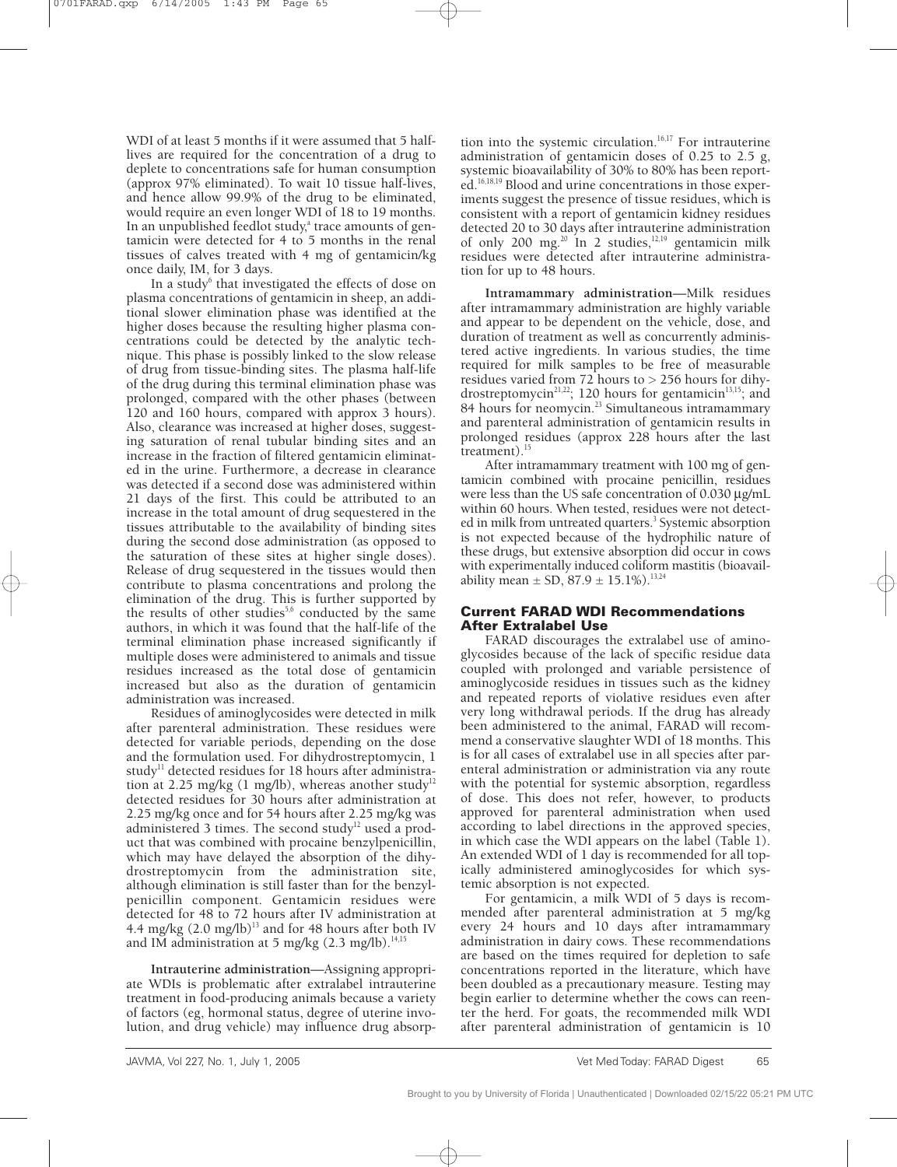WDI of at least 5 months if it were assumed that 5 halflives are required for the concentration of a drug to deplete to concentrations safe for human consumption (approx 97% eliminated). To wait 10 tissue half-lives, and hence allow 99.9% of the drug to be eliminated, would require an even longer WDI of 18 to 19 months. In an unpublished feedlot study,<sup>a</sup> trace amounts of gentamicin were detected for 4 to 5 months in the renal tissues of calves treated with 4 mg of gentamicin/kg once daily, IM, for 3 days.

In a study<sup>6</sup> that investigated the effects of dose on plasma concentrations of gentamicin in sheep, an additional slower elimination phase was identified at the higher doses because the resulting higher plasma concentrations could be detected by the analytic technique. This phase is possibly linked to the slow release of drug from tissue-binding sites. The plasma half-life of the drug during this terminal elimination phase was prolonged, compared with the other phases (between 120 and 160 hours, compared with approx 3 hours). Also, clearance was increased at higher doses, suggesting saturation of renal tubular binding sites and an increase in the fraction of filtered gentamicin eliminated in the urine. Furthermore, a decrease in clearance was detected if a second dose was administered within 21 days of the first. This could be attributed to an increase in the total amount of drug sequestered in the tissues attributable to the availability of binding sites during the second dose administration (as opposed to the saturation of these sites at higher single doses). Release of drug sequestered in the tissues would then contribute to plasma concentrations and prolong the elimination of the drug. This is further supported by the results of other studies<sup>5,6</sup> conducted by the same authors, in which it was found that the half-life of the terminal elimination phase increased significantly if multiple doses were administered to animals and tissue residues increased as the total dose of gentamicin increased but also as the duration of gentamicin administration was increased.

Residues of aminoglycosides were detected in milk after parenteral administration. These residues were detected for variable periods, depending on the dose and the formulation used. For dihydrostreptomycin, 1 study<sup>11</sup> detected residues for 18 hours after administration at 2.25 mg/kg (1 mg/lb), whereas another study<sup>12</sup> detected residues for 30 hours after administration at 2.25 mg/kg once and for 54 hours after 2.25 mg/kg was administered 3 times. The second study<sup>12</sup> used a product that was combined with procaine benzylpenicillin, which may have delayed the absorption of the dihydrostreptomycin from the administration site, although elimination is still faster than for the benzylpenicillin component. Gentamicin residues were detected for 48 to 72 hours after IV administration at 4.4 mg/kg  $(2.0 \text{ mg/lb})^{13}$  and for 48 hours after both IV and IM administration at 5 mg/kg  $(2.3 \text{ mg/lb})$ .<sup>14,15</sup>

**Intrauterine administration**—Assigning appropriate WDIs is problematic after extralabel intrauterine treatment in food-producing animals because a variety of factors (eg, hormonal status, degree of uterine involution, and drug vehicle) may influence drug absorp-

tion into the systemic circulation.<sup>16,17</sup> For intrauterine administration of gentamicin doses of 0.25 to 2.5 g, systemic bioavailability of 30% to 80% has been reported.<sup>16,18,19</sup> Blood and urine concentrations in those experiments suggest the presence of tissue residues, which is consistent with a report of gentamicin kidney residues detected 20 to 30 days after intrauterine administration of only 200 mg.<sup>20</sup> In 2 studies,<sup>12,19</sup> gentamicin milk residues were detected after intrauterine administration for up to 48 hours.

**Intramammary administration**—Milk residues after intramammary administration are highly variable and appear to be dependent on the vehicle, dose, and duration of treatment as well as concurrently administered active ingredients. In various studies, the time required for milk samples to be free of measurable residues varied from 72 hours to > 256 hours for dihydrostreptomycin<sup>21,22</sup>; 120 hours for gentamicin<sup>13,15</sup>; and 84 hours for neomycin.<sup>23</sup> Simultaneous intramammary and parenteral administration of gentamicin results in prolonged residues (approx 228 hours after the last treatment). $^{15}$ 

After intramammary treatment with 100 mg of gentamicin combined with procaine penicillin, residues were less than the US safe concentration of 0.030 µg/mL within 60 hours. When tested, residues were not detected in milk from untreated quarters.<sup>3</sup> Systemic absorption is not expected because of the hydrophilic nature of these drugs, but extensive absorption did occur in cows with experimentally induced coliform mastitis (bioavailability mean  $\pm$  SD, 87.9  $\pm$  15.1%).<sup>13,24</sup>

### **Current FARAD WDI Recommendations After Extralabel Use**

FARAD discourages the extralabel use of aminoglycosides because of the lack of specific residue data coupled with prolonged and variable persistence of aminoglycoside residues in tissues such as the kidney and repeated reports of violative residues even after very long withdrawal periods. If the drug has already been administered to the animal, FARAD will recommend a conservative slaughter WDI of 18 months. This is for all cases of extralabel use in all species after parenteral administration or administration via any route with the potential for systemic absorption, regardless of dose. This does not refer, however, to products approved for parenteral administration when used according to label directions in the approved species, in which case the WDI appears on the label (Table 1). An extended WDI of 1 day is recommended for all topically administered aminoglycosides for which systemic absorption is not expected.

For gentamicin, a milk WDI of 5 days is recommended after parenteral administration at 5 mg/kg every 24 hours and 10 days after intramammary administration in dairy cows. These recommendations are based on the times required for depletion to safe concentrations reported in the literature, which have been doubled as a precautionary measure. Testing may begin earlier to determine whether the cows can reenter the herd. For goats, the recommended milk WDI after parenteral administration of gentamicin is 10